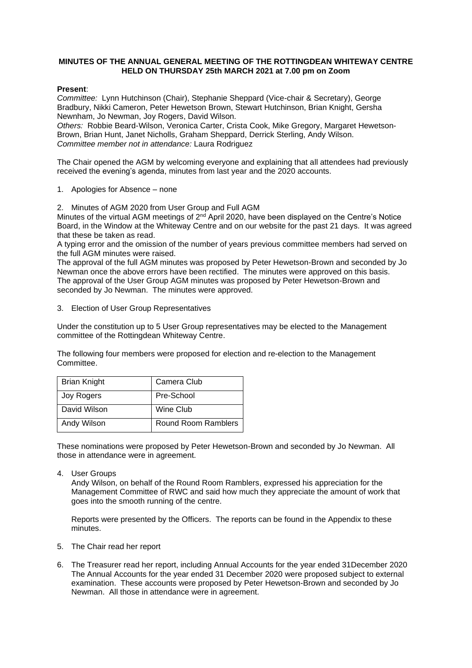# **MINUTES OF THE ANNUAL GENERAL MEETING OF THE ROTTINGDEAN WHITEWAY CENTRE HELD ON THURSDAY 25th MARCH 2021 at 7.00 pm on Zoom**

# **Present**:

*Committee:* Lynn Hutchinson (Chair), Stephanie Sheppard (Vice-chair & Secretary), George Bradbury, Nikki Cameron, Peter Hewetson Brown, Stewart Hutchinson, Brian Knight, Gersha Newnham, Jo Newman, Joy Rogers, David Wilson.

*Others:* Robbie Beard-Wilson, Veronica Carter, Crista Cook, Mike Gregory, Margaret Hewetson-Brown, Brian Hunt, Janet Nicholls, Graham Sheppard, Derrick Sterling, Andy Wilson. *Committee member not in attendance:* Laura Rodriguez

The Chair opened the AGM by welcoming everyone and explaining that all attendees had previously received the evening's agenda, minutes from last year and the 2020 accounts.

1. Apologies for Absence – none

2. Minutes of AGM 2020 from User Group and Full AGM

Minutes of the virtual AGM meetings of  $2<sup>nd</sup>$  April 2020, have been displayed on the Centre's Notice Board, in the Window at the Whiteway Centre and on our website for the past 21 days. It was agreed that these be taken as read.

A typing error and the omission of the number of years previous committee members had served on the full AGM minutes were raised.

The approval of the full AGM minutes was proposed by Peter Hewetson-Brown and seconded by Jo Newman once the above errors have been rectified. The minutes were approved on this basis. The approval of the User Group AGM minutes was proposed by Peter Hewetson-Brown and seconded by Jo Newman. The minutes were approved.

3. Election of User Group Representatives

Under the constitution up to 5 User Group representatives may be elected to the Management committee of the Rottingdean Whiteway Centre.

The following four members were proposed for election and re-election to the Management Committee.

| <b>Brian Knight</b> | Camera Club         |
|---------------------|---------------------|
| Joy Rogers          | Pre-School          |
| David Wilson        | Wine Club           |
| Andy Wilson         | Round Room Ramblers |

These nominations were proposed by Peter Hewetson-Brown and seconded by Jo Newman. All those in attendance were in agreement.

4. User Groups

Andy Wilson, on behalf of the Round Room Ramblers, expressed his appreciation for the Management Committee of RWC and said how much they appreciate the amount of work that goes into the smooth running of the centre.

Reports were presented by the Officers. The reports can be found in the Appendix to these minutes.

- 5. The Chair read her report
- 6. The Treasurer read her report, including Annual Accounts for the year ended 31December 2020 The Annual Accounts for the year ended 31 December 2020 were proposed subject to external examination. These accounts were proposed by Peter Hewetson-Brown and seconded by Jo Newman. All those in attendance were in agreement.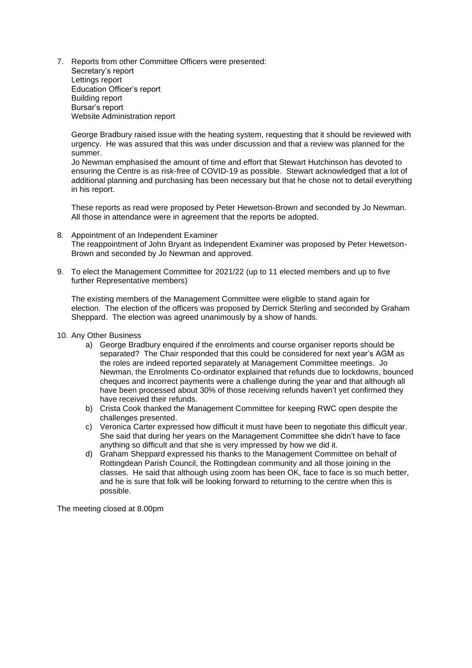7. Reports from other Committee Officers were presented: Secretary's report Lettings report Education Officer's report Building report Bursar's report Website Administration report

George Bradbury raised issue with the heating system, requesting that it should be reviewed with urgency. He was assured that this was under discussion and that a review was planned for the summer.

Jo Newman emphasised the amount of time and effort that Stewart Hutchinson has devoted to ensuring the Centre is as risk-free of COVID-19 as possible. Stewart acknowledged that a lot of additional planning and purchasing has been necessary but that he chose not to detail everything in his report.

These reports as read were proposed by Peter Hewetson-Brown and seconded by Jo Newman. All those in attendance were in agreement that the reports be adopted.

- 8. Appointment of an Independent Examiner The reappointment of John Bryant as Independent Examiner was proposed by Peter Hewetson-Brown and seconded by Jo Newman and approved.
- 9. To elect the Management Committee for 2021/22 (up to 11 elected members and up to five further Representative members)

The existing members of the Management Committee were eligible to stand again for election. The election of the officers was proposed by Derrick Sterling and seconded by Graham Sheppard. The election was agreed unanimously by a show of hands.

- 10. Any Other Business
	- a) George Bradbury enquired if the enrolments and course organiser reports should be separated? The Chair responded that this could be considered for next year's AGM as the roles are indeed reported separately at Management Committee meetings. Jo Newman, the Enrolments Co-ordinator explained that refunds due to lockdowns, bounced cheques and incorrect payments were a challenge during the year and that although all have been processed about 30% of those receiving refunds haven't yet confirmed they have received their refunds.
	- b) Crista Cook thanked the Management Committee for keeping RWC open despite the challenges presented.
	- c) Veronica Carter expressed how difficult it must have been to negotiate this difficult year. She said that during her years on the Management Committee she didn't have to face anything so difficult and that she is very impressed by how we did it.
	- d) Graham Sheppard expressed his thanks to the Management Committee on behalf of Rottingdean Parish Council, the Rottingdean community and all those joining in the classes. He said that although using zoom has been OK, face to face is so much better, and he is sure that folk will be looking forward to returning to the centre when this is possible.

The meeting closed at 8.00pm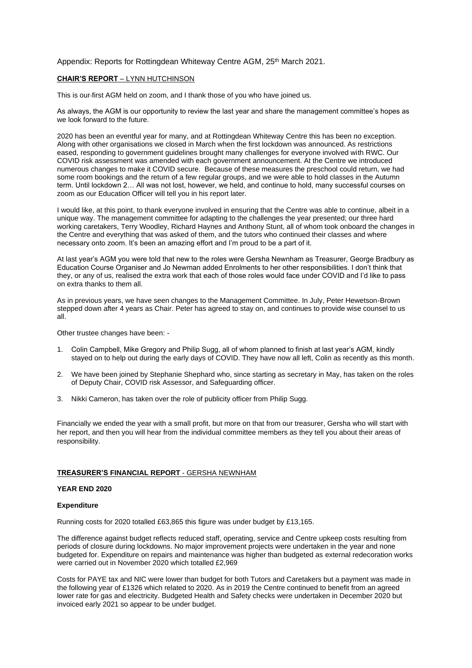## Appendix: Reports for Rottingdean Whiteway Centre AGM, 25<sup>th</sup> March 2021.

## **CHAIR'S REPORT** – LYNN HUTCHINSON

This is our first AGM held on zoom, and I thank those of you who have joined us.

As always, the AGM is our opportunity to review the last year and share the management committee's hopes as we look forward to the future.

2020 has been an eventful year for many, and at Rottingdean Whiteway Centre this has been no exception. Along with other organisations we closed in March when the first lockdown was announced. As restrictions eased, responding to government guidelines brought many challenges for everyone involved with RWC. Our COVID risk assessment was amended with each government announcement. At the Centre we introduced numerous changes to make it COVID secure. Because of these measures the preschool could return, we had some room bookings and the return of a few regular groups, and we were able to hold classes in the Autumn term. Until lockdown 2… All was not lost, however, we held, and continue to hold, many successful courses on zoom as our Education Officer will tell you in his report later.

I would like, at this point, to thank everyone involved in ensuring that the Centre was able to continue, albeit in a unique way. The management committee for adapting to the challenges the year presented; our three hard working caretakers, Terry Woodley, Richard Haynes and Anthony Stunt, all of whom took onboard the changes in the Centre and everything that was asked of them, and the tutors who continued their classes and where necessary onto zoom. It's been an amazing effort and I'm proud to be a part of it.

At last year's AGM you were told that new to the roles were Gersha Newnham as Treasurer, George Bradbury as Education Course Organiser and Jo Newman added Enrolments to her other responsibilities. I don't think that they, or any of us, realised the extra work that each of those roles would face under COVID and I'd like to pass on extra thanks to them all.

As in previous years, we have seen changes to the Management Committee. In July, Peter Hewetson-Brown stepped down after 4 years as Chair. Peter has agreed to stay on, and continues to provide wise counsel to us all.

Other trustee changes have been: -

- 1. Colin Campbell, Mike Gregory and Philip Sugg, all of whom planned to finish at last year's AGM, kindly stayed on to help out during the early days of COVID. They have now all left, Colin as recently as this month.
- 2. We have been joined by Stephanie Shephard who, since starting as secretary in May, has taken on the roles of Deputy Chair, COVID risk Assessor, and Safeguarding officer.
- 3. Nikki Cameron, has taken over the role of publicity officer from Philip Sugg.

Financially we ended the year with a small profit, but more on that from our treasurer, Gersha who will start with her report, and then you will hear from the individual committee members as they tell you about their areas of responsibility.

#### **TREASURER'S FINANCIAL REPORT** - GERSHA NEWNHAM

## **YEAR END 2020**

## **Expenditure**

Running costs for 2020 totalled £63,865 this figure was under budget by £13,165.

The difference against budget reflects reduced staff, operating, service and Centre upkeep costs resulting from periods of closure during lockdowns. No major improvement projects were undertaken in the year and none budgeted for. Expenditure on repairs and maintenance was higher than budgeted as external redecoration works were carried out in November 2020 which totalled £2,969

Costs for PAYE tax and NIC were lower than budget for both Tutors and Caretakers but a payment was made in the following year of £1326 which related to 2020. As in 2019 the Centre continued to benefit from an agreed lower rate for gas and electricity. Budgeted Health and Safety checks were undertaken in December 2020 but invoiced early 2021 so appear to be under budget.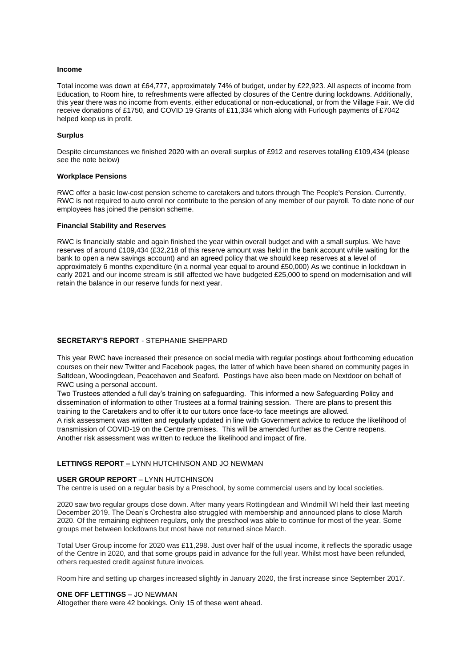#### **Income**

Total income was down at £64,777, approximately 74% of budget, under by £22,923. All aspects of income from Education, to Room hire, to refreshments were affected by closures of the Centre during lockdowns. Additionally, this year there was no income from events, either educational or non-educational, or from the Village Fair. We did receive donations of £1750, and COVID 19 Grants of £11,334 which along with Furlough payments of £7042 helped keep us in profit.

#### **Surplus**

Despite circumstances we finished 2020 with an overall surplus of £912 and reserves totalling £109,434 (please see the note below)

#### **Workplace Pensions**

RWC offer a basic low-cost pension scheme to caretakers and tutors through The People's Pension. Currently, RWC is not required to auto enrol nor contribute to the pension of any member of our payroll. To date none of our employees has joined the pension scheme.

#### **Financial Stability and Reserves**

RWC is financially stable and again finished the year within overall budget and with a small surplus. We have reserves of around £109,434 (£32,218 of this reserve amount was held in the bank account while waiting for the bank to open a new savings account) and an agreed policy that we should keep reserves at a level of approximately 6 months expenditure (in a normal year equal to around £50,000) As we continue in lockdown in early 2021 and our income stream is still affected we have budgeted £25,000 to spend on modernisation and will retain the balance in our reserve funds for next year.

## **SECRETARY'S REPORT** - STEPHANIE SHEPPARD

This year RWC have increased their presence on social media with regular postings about forthcoming education courses on their new Twitter and Facebook pages, the latter of which have been shared on community pages in Saltdean, Woodingdean, Peacehaven and Seaford. Postings have also been made on Nextdoor on behalf of RWC using a personal account.

Two Trustees attended a full day's training on safeguarding. This informed a new Safeguarding Policy and dissemination of information to other Trustees at a formal training session. There are plans to present this training to the Caretakers and to offer it to our tutors once face-to face meetings are allowed.

A risk assessment was written and regularly updated in line with Government advice to reduce the likelihood of transmission of COVID-19 on the Centre premises. This will be amended further as the Centre reopens. Another risk assessment was written to reduce the likelihood and impact of fire.

## **LETTINGS REPORT –** LYNN HUTCHINSON AND JO NEWMAN

## **USER GROUP REPORT** – LYNN HUTCHINSON

The centre is used on a regular basis by a Preschool, by some commercial users and by local societies.

2020 saw two regular groups close down. After many years Rottingdean and Windmill WI held their last meeting December 2019. The Dean's Orchestra also struggled with membership and announced plans to close March 2020. Of the remaining eighteen regulars, only the preschool was able to continue for most of the year. Some groups met between lockdowns but most have not returned since March.

Total User Group income for 2020 was £11,298. Just over half of the usual income, it reflects the sporadic usage of the Centre in 2020, and that some groups paid in advance for the full year. Whilst most have been refunded, others requested credit against future invoices.

Room hire and setting up charges increased slightly in January 2020, the first increase since September 2017.

## **ONE OFF LETTINGS** – JO NEWMAN

Altogether there were 42 bookings. Only 15 of these went ahead.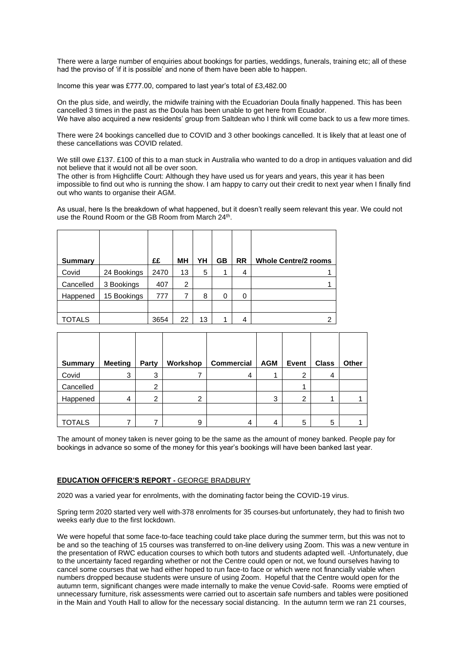There were a large number of enquiries about bookings for parties, weddings, funerals, training etc; all of these had the proviso of 'if it is possible' and none of them have been able to happen.

Income this year was £777.00, compared to last year's total of £3,482.00

On the plus side, and weirdly, the midwife training with the Ecuadorian Doula finally happened. This has been cancelled 3 times in the past as the Doula has been unable to get here from Ecuador. We have also acquired a new residents' group from Saltdean who I think will come back to us a few more times.

There were 24 bookings cancelled due to COVID and 3 other bookings cancelled. It is likely that at least one of these cancellations was COVID related.

We still owe £137. £100 of this to a man stuck in Australia who wanted to do a drop in antiques valuation and did not believe that it would not all be over soon.

The other is from Highcliffe Court: Although they have used us for years and years, this year it has been impossible to find out who is running the show. I am happy to carry out their credit to next year when I finally find out who wants to organise their AGM.

As usual, here Is the breakdown of what happened, but it doesn't really seem relevant this year. We could not use the Round Room or the GB Room from March 24<sup>th</sup>.

| <b>Summary</b> |             | ££   | MН | YΗ | GВ | <b>RR</b> | <b>Whole Centre/2 rooms</b> |
|----------------|-------------|------|----|----|----|-----------|-----------------------------|
| Covid          | 24 Bookings | 2470 | 13 | 5  | 1  | 4         |                             |
| Cancelled      | 3 Bookings  | 407  | 2  |    |    |           |                             |
| Happened       | 15 Bookings | 777  | 7  | 8  | 0  | 0         |                             |
|                |             |      |    |    |    |           |                             |
| TOTALS         |             | 3654 | 22 | 13 | 1  | 4         | 2                           |

| <b>Summary</b> | <b>Meeting</b> | Party          | Workshop | <b>Commercial</b> | <b>AGM</b> | Event | <b>Class</b> | Other |
|----------------|----------------|----------------|----------|-------------------|------------|-------|--------------|-------|
| Covid          | 3              | 3              |          | 4                 |            | ◠     | 4            |       |
| Cancelled      |                | $\overline{2}$ |          |                   |            |       |              |       |
| Happened       | 4              | ⌒              | 2        |                   | 3          | ⌒     | 4            |       |
|                |                |                |          |                   |            |       |              |       |
| TOTALS         |                |                | 9        | 4                 | 4          | 5     | 5            |       |

The amount of money taken is never going to be the same as the amount of money banked. People pay for bookings in advance so some of the money for this year's bookings will have been banked last year.

## **EDUCATION OFFICER'S REPORT -** GEORGE BRADBURY

2020 was a varied year for enrolments, with the dominating factor being the COVID-19 virus.

Spring term 2020 started very well with 378 enrolments for 35 courses but unfortunately, they had to finish two weeks early due to the first lockdown.

We were hopeful that some face-to-face teaching could take place during the summer term, but this was not to be and so the teaching of 15 courses was transferred to on-line delivery using Zoom. This was a new venture in the presentation of RWC education courses to which both tutors and students adapted well. Unfortunately, due to the uncertainty faced regarding whether or not the Centre could open or not, we found ourselves having to cancel some courses that we had either hoped to run face-to face or which were not financially viable when numbers dropped because students were unsure of using Zoom. Hopeful that the Centre would open for the autumn term, significant changes were made internally to make the venue Covid-safe. Rooms were emptied of unnecessary furniture, risk assessments were carried out to ascertain safe numbers and tables were positioned in the Main and Youth Hall to allow for the necessary social distancing. In the autumn term we ran 21 courses,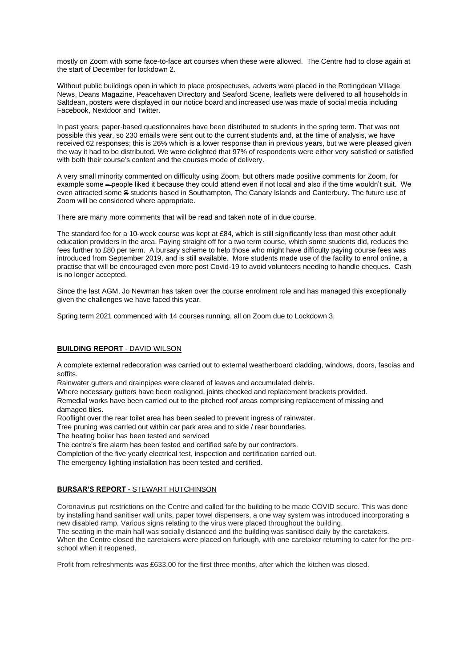mostly on Zoom with some face-to-face art courses when these were allowed. The Centre had to close again at the start of December for lockdown 2.

Without public buildings open in which to place prospectuses, adverts were placed in the Rottingdean Village News, Deans Magazine, Peacehaven Directory and Seaford Scene, leaflets were delivered to all households in Saltdean, posters were displayed in our notice board and increased use was made of social media including Facebook, Nextdoor and Twitter.

In past years, paper-based questionnaires have been distributed to students in the spring term. That was not possible this year, so 230 emails were sent out to the current students and, at the time of analysis, we have received 62 responses; this is 26% which is a lower response than in previous years, but we were pleased given the way it had to be distributed. We were delighted that 97% of respondents were either very satisfied or satisfied with both their course's content and the courses mode of delivery.

A very small minority commented on difficulty using Zoom, but others made positive comments for Zoom, for example some – people liked it because they could attend even if not local and also if the time wouldn't suit. We even attracted some S students based in Southampton, The Canary Islands and Canterbury. The future use of Zoom will be considered where appropriate.

There are many more comments that will be read and taken note of in due course.

The standard fee for a 10-week course was kept at £84, which is still significantly less than most other adult education providers in the area. Paying straight off for a two term course, which some students did, reduces the fees further to £80 per term. A bursary scheme to help those who might have difficulty paying course fees was introduced from September 2019, and is still available. More students made use of the facility to enrol online, a practise that will be encouraged even more post Covid-19 to avoid volunteers needing to handle cheques. Cash is no longer accepted.

Since the last AGM, Jo Newman has taken over the course enrolment role and has managed this exceptionally given the challenges we have faced this year.

Spring term 2021 commenced with 14 courses running, all on Zoom due to Lockdown 3.

## **BUILDING REPORT** - DAVID WILSON

A complete external redecoration was carried out to external weatherboard cladding, windows, doors, fascias and soffits.

Rainwater gutters and drainpipes were cleared of leaves and accumulated debris.

Where necessary gutters have been realigned, joints checked and replacement brackets provided.

Remedial works have been carried out to the pitched roof areas comprising replacement of missing and damaged tiles.

Rooflight over the rear toilet area has been sealed to prevent ingress of rainwater.

Tree pruning was carried out within car park area and to side / rear boundaries.

The heating boiler has been tested and serviced

The centre's fire alarm has been tested and certified safe by our contractors.

Completion of the five yearly electrical test, inspection and certification carried out.

The emergency lighting installation has been tested and certified.

## **BURSAR'S REPORT** - STEWART HUTCHINSON

Coronavirus put restrictions on the Centre and called for the building to be made COVID secure. This was done by installing hand sanitiser wall units, paper towel dispensers, a one way system was introduced incorporating a new disabled ramp. Various signs relating to the virus were placed throughout the building.

The seating in the main hall was socially distanced and the building was sanitised daily by the caretakers. When the Centre closed the caretakers were placed on furlough, with one caretaker returning to cater for the preschool when it reopened.

Profit from refreshments was £633.00 for the first three months, after which the kitchen was closed.